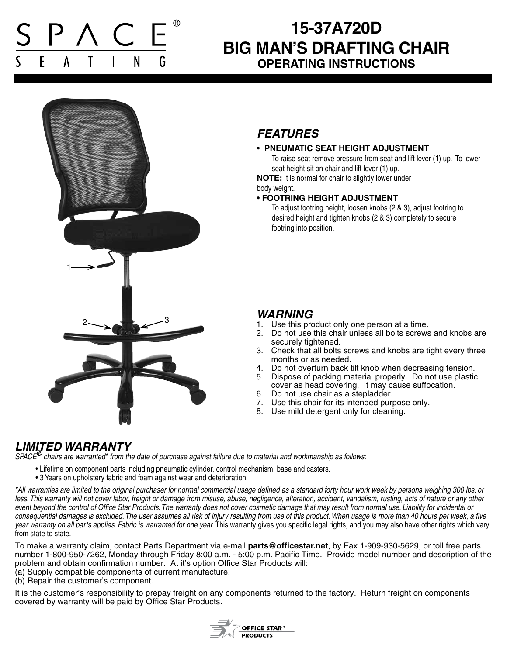# **15-37A720D BIG MAN'S DRAFTING CHAIR OPERATING INSTRUCTIONS**



## *FEATURES*

### **• PNEUMATIC SEAT HEIGHT ADJUSTMENT**

To raise seat remove pressure from seat and lift lever (1) up. To lower seat height sit on chair and lift lever (1) up.

**NOTE:** It is normal for chair to slightly lower under body weight.

#### **• FOOTRING HEIGHT ADJUSTMENT**

To adjust footring height, loosen knobs (2 & 3), adjust footring to desired height and tighten knobs (2 & 3) completely to secure footring into position.

### *WARNING*

- 1. Use this product only one person at a time.
- 2. Do not use this chair unless all bolts screws and knobs are securely tightened.
- 3. Check that all bolts screws and knobs are tight every three months or as needed.
- 4. Do not overturn back tilt knob when decreasing tension.
- 5. Dispose of packing material properly. Do not use plastic cover as head covering. It may cause suffocation.
- 6. Do not use chair as a stepladder.
- 7. Use this chair for its intended purpose only.
- 8. Use mild detergent only for cleaning.

## *LIMITED WARRANTY*

*SPACE® chairs are warranted\* from the date of purchase against failure due to material and workmanship as follows:*

- Lifetime on component parts including pneumatic cylinder, control mechanism, base and casters.
- 3 Years on upholstery fabric and foam against wear and deterioration.

*\*All warranties are limited to the original purchaser for normal commercial usage defined as a standard forty hour work week by persons weighing 300 lbs. or*  less. This warranty will not cover labor, freight or damage from misuse, abuse, negligence, alteration, accident, vandalism, rusting, acts of nature or any other *event beyond the control of Office Star Products. The warranty does not cover cosmetic damage that may result from normal use. Liability for incidental or consequential damages is excluded. The user assumes all risk of injury resulting from use of this product. When usage is more than 40 hours per week, a five*  year warranty on all parts applies. Fabric is warranted for one year. This warranty gives you specific legal rights, and you may also have other rights which vary from state to state.

To make a warranty claim, contact Parts Department via e-mail **parts@officestar.net**, by Fax 1-909-930-5629, or toll free parts number 1-800-950-7262, Monday through Friday 8:00 a.m. - 5:00 p.m. Pacific Time. Provide model number and description of the problem and obtain confirmation number. At it's option Office Star Products will:

- (a) Supply compatible components of current manufacture.
- (b) Repair the customer's component.

It is the customer's responsibility to prepay freight on any components returned to the factory. Return freight on components covered by warranty will be paid by Office Star Products.